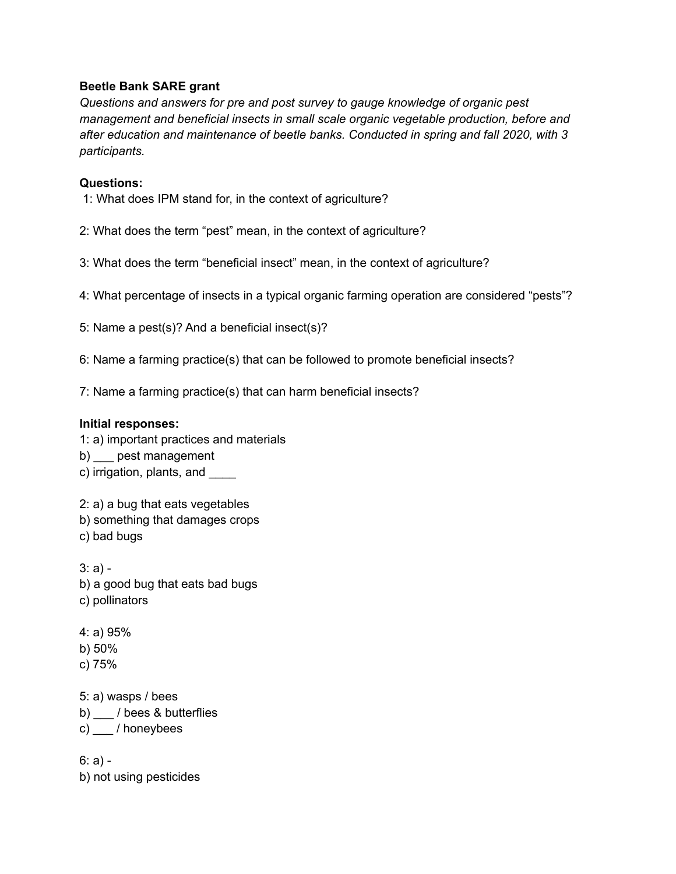## **Beetle Bank SARE grant**

*Questions and answers for pre and post survey to gauge knowledge of organic pest management and beneficial insects in small scale organic vegetable production, before and after education and maintenance of beetle banks. Conducted in spring and fall 2020, with 3 participants.*

## **Questions:**

- 1: What does IPM stand for, in the context of agriculture?
- 2: What does the term "pest" mean, in the context of agriculture?
- 3: What does the term "beneficial insect" mean, in the context of agriculture?
- 4: What percentage of insects in a typical organic farming operation are considered "pests"?
- 5: Name a pest(s)? And a beneficial insect(s)?
- 6: Name a farming practice(s) that can be followed to promote beneficial insects?
- 7: Name a farming practice(s) that can harm beneficial insects?

## **Initial responses:**

1: a) important practices and materials

- b) pest management
- c) irrigation, plants, and \_\_\_\_\_

2: a) a bug that eats vegetables b) something that damages crops

c) bad bugs

3: a) b) a good bug that eats bad bugs c) pollinators

- 4: a) 95% b) 50%
- 
- c) 75%

5: a) wasps / bees

b) \_\_\_ / bees & butterflies

c) \_\_\_ / honeybees

 $6: a$ ) b) not using pesticides